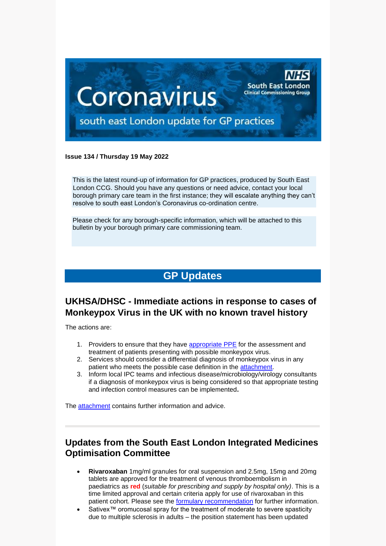

#### **Issue 134 / Thursday 19 May 2022**

This is the latest round-up of information for GP practices, produced by South East London CCG. Should you have any questions or need advice, contact your local borough primary care team in the first instance; they will escalate anything they can't resolve to south east London's Coronavirus co-ordination centre.

Please check for any borough-specific information, which will be attached to this bulletin by your borough primary care commissioning team.

# **GP Updates**

## **UKHSA/DHSC - Immediate actions in response to cases of Monkeypox Virus in the UK with no known travel history**

The actions are:

- 1. Providers to ensure that they have [appropriate PPE](https://www.gov.uk/guidance/monkeypox#infection-prevention-and-control) for the assessment and treatment of patients presenting with possible monkeypox virus.
- 2. Services should consider a differential diagnosis of monkeypox virus in any patient who meets the possible case definition in the [attachment.](https://selondonccg.nhs.uk/wp-content/uploads/2022/05/CEM_CMO_2022_008.pdf)
- 3. Inform local IPC teams and infectious disease/microbiology/virology consultants if a diagnosis of monkeypox virus is being considered so that appropriate testing and infection control measures can be implemented**.**

The [attachment](https://selondonccg.nhs.uk/wp-content/uploads/2022/05/CEM_CMO_2022_008.pdf) contains further information and advice.

### **Updates from the South East London Integrated Medicines Optimisation Committee**

- **Rivaroxaban** 1mg/ml granules for oral suspension and 2.5mg, 15mg and 20mg tablets are approved for the treatment of venous thromboembolism in paediatrics as **red** (*suitable for prescribing and supply by hospital only)*. This is a time limited approval and certain criteria apply for use of rivaroxaban in this patient cohort. Please see the **formulary recommendation** for further information.
- Sativex™ oromucosal spray for the treatment of moderate to severe spasticity due to multiple sclerosis in adults – the position statement has been updated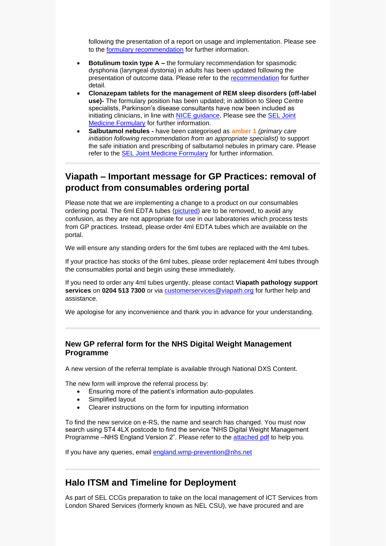following the presentation of a report on usage and implementation. Please see to the [formulary recommendation](https://selondonccg.nhs.uk/download/11725/) for further information.

- **Botulinum toxin type A –** the formulary recommendation for spasmodic dysphonia (laryngeal dystonia) in adults has been updated following the presentation of outcome data. Please refer to the [recommendation](https://selondonccg.nhs.uk/wp-content/uploads/dlm_uploads/2021/09/Recommendation-119-Botulinum-toxin-spasmodic-dysphonia-April-22-FINAL.pdf) for further detail.
- **Clonazepam tablets for the management of REM sleep disorders (off-label use)-** The formulary position has been updated; in addition to Sleep Centre specialists, Parkinson's disease consultants have now been included as initiating clinicians, in line with [NICE guidance.](https://www.nice.org.uk/guidance/ng71) Please see the SEL Joint [Medicine Formulary](https://www.selondonjointmedicinesformulary.nhs.uk/chaptersSubDetails.asp?FormularySectionID=4&SubSectionRef=04.01.01&SubSectionID=B100&drugmatch=4932#4932) for further information.
- **Salbutamol nebules -** have been categorised as **amber 1** *(primary care initiation following recommendation from an appropriate specialist)* to support the safe initiation and prescribing of salbutamol nebules in primary care. Please refer to the **SEL** Joint Medicine Formulary for further information.

## **Viapath – Important message for GP Practices: removal of product from consumables ordering portal**

Please note that we are implementing a change to a product on our consumables ordering portal. The 6ml EDTA tubes [\(pictured\)](https://selondonccg.nhs.uk/wp-content/uploads/2022/05/6ml-tubes-002.png) are to be removed, to avoid any confusion, as they are not appropriate for use in our laboratories which process tests from GP practices. Instead, please order 4ml EDTA tubes which are available on the portal.

We will ensure any standing orders for the 6ml tubes are replaced with the 4ml tubes.

If your practice has stocks of the 6ml tubes, please order replacement 4ml tubes through the consumables portal and begin using these immediately.

If you need to order any 4ml tubes urgently, please contact **Viapath pathology support services** on **0204 513 7300** or via [customerservices@viapath.org](mailto:customerservices@viapath.org) for further help and assistance.

We apologise for any inconvenience and thank you in advance for your understanding.

#### **New GP referral form for the NHS Digital Weight Management Programme**

A new version of the referral template is available through National DXS Content.

The new form will improve the referral process by:

- Ensuring more of the patient's information auto-populates
- Simplified layout
- Clearer instructions on the form for inputting information

To find the new service on e-RS, the name and search has changed. You must now search using ST4 4LX postcode to find the service "NHS Digital Weight Management Programme –NHS England Version 2". Please refer to the [attached pdf](https://selondonccg.nhs.uk/wp-content/uploads/2022/05/NHS-Digital-Weight-Management-Programme-NHS-England-Version-2-Servic....pdf) to help you.

If you have any queries, email [england.wmp-prevention@nhs.net](mailto:england.wmp-prevention@nhs.net)

#### **Halo ITSM and Timeline for Deployment**

As part of SEL CCGs preparation to take on the local management of ICT Services from London Shared Services (formerly known as NEL CSU), we have procured and are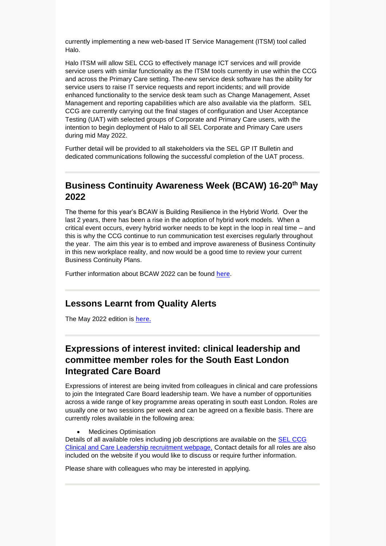currently implementing a new web-based IT Service Management (ITSM) tool called Halo.

Halo ITSM will allow SEL CCG to effectively manage ICT services and will provide service users with similar functionality as the ITSM tools currently in use within the CCG and across the Primary Care setting. The new service desk software has the ability for service users to raise IT service requests and report incidents; and will provide enhanced functionality to the service desk team such as Change Management, Asset Management and reporting capabilities which are also available via the platform. SEL CCG are currently carrying out the final stages of configuration and User Acceptance Testing (UAT) with selected groups of Corporate and Primary Care users, with the intention to begin deployment of Halo to all SEL Corporate and Primary Care users during mid May 2022.

Further detail will be provided to all stakeholders via the SEL GP IT Bulletin and dedicated communications following the successful completion of the UAT process.

### **Business Continuity Awareness Week (BCAW) 16-20th May 2022**

The theme for this year's BCAW is Building Resilience in the Hybrid World. Over the last 2 years, there has been a rise in the adoption of hybrid work models. When a critical event occurs, every hybrid worker needs to be kept in the loop in real time – and this is why the CCG continue to run communication test exercises regularly throughout the year. The aim this year is to embed and improve awareness of Business Continuity in this new workplace reality, and now would be a good time to review your current Business Continuity Plans.

Further information about BCAW 2022 can be found [here](https://www.thebci.org/event-detail/event-calendar/business-continuity-awareness-week--bcaw--2022.html#theme).

#### **Lessons Learnt from Quality Alerts**

The May 2022 edition is [here.](https://selondonccg.nhs.uk/wp-content/uploads/2022/05/Lessons-Learnt-Quality-You-said-we-did-May-22-Edition-final.pdf)

## **Expressions of interest invited: clinical leadership and committee member roles for the South East London Integrated Care Board**

Expressions of interest are being invited from colleagues in clinical and care professions to join the Integrated Care Board leadership team. We have a number of opportunities across a wide range of key programme areas operating in south east London. Roles are usually one or two sessions per week and can be agreed on a flexible basis. There are currently roles available in the following area:

#### • Medicines Optimisation

Details of all available roles including job descriptions are available on the [SEL CCG](https://selondonccg.nhs.uk/what-we-do/clinical-and-care-professional-leadership-roles/south-east-london-clinical-and-care-leadership-available-roles-how-to-find-out-more-and-how-to-apply/)  [Clinical and Care Leadership recruitment webpage,](https://selondonccg.nhs.uk/what-we-do/clinical-and-care-professional-leadership-roles/south-east-london-clinical-and-care-leadership-available-roles-how-to-find-out-more-and-how-to-apply/) Contact details for all roles are also included on the website if you would like to discuss or require further information.

Please share with colleagues who may be interested in applying.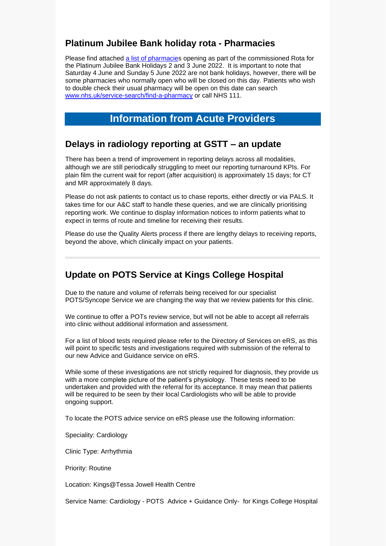## **Platinum Jubilee Bank holiday rota - Pharmacies**

Please find attached a [list of pharmacies](https://selondonccg.nhs.uk/wp-content/uploads/2022/05/Platinum-Jubilee-Bank-Holiday-2022-Rota-List-Final_.docx) opening as part of the commissioned Rota for the Platinum Jubilee Bank Holidays 2 and 3 June 2022. It is important to note that Saturday 4 June and Sunday 5 June 2022 are not bank holidays, however, there will be some pharmacies who normally open who will be closed on this day. Patients who wish to double check their usual pharmacy will be open on this date can search [www.nhs.uk/service-search/find-a-pharmacy](http://www.nhs.uk/service-search/find-a-pharmacy) or call NHS 111.

# **Information from Acute Providers**

### **Delays in radiology reporting at GSTT – an update**

There has been a trend of improvement in reporting delays across all modalities, although we are still periodically struggling to meet our reporting turnaround KPIs. For plain film the current wait for report (after acquisition) is approximately 15 days; for CT and MR approximately 8 days.

Please do not ask patients to contact us to chase reports, either directly or via PALS. It takes time for our A&C staff to handle these queries, and we are clinically prioritising reporting work. We continue to display information notices to inform patients what to expect in terms of route and timeline for receiving their results.

Please do use the Quality Alerts process if there are lengthy delays to receiving reports, beyond the above, which clinically impact on your patients.

## **Update on POTS Service at Kings College Hospital**

Due to the nature and volume of referrals being received for our specialist POTS/Syncope Service we are changing the way that we review patients for this clinic.

We continue to offer a POTs review service, but will not be able to accept all referrals into clinic without additional information and assessment.

For a list of blood tests required please refer to the Directory of Services on eRS, as this will point to specific tests and investigations required with submission of the referral to our new Advice and Guidance service on eRS.

While some of these investigations are not strictly required for diagnosis, they provide us with a more complete picture of the patient's physiology. These tests need to be undertaken and provided with the referral for its acceptance. It may mean that patients will be required to be seen by their local Cardiologists who will be able to provide ongoing support.

To locate the POTS advice service on eRS please use the following information:

Speciality: Cardiology

Clinic Type: Arrhythmia

Priority: Routine

Location: Kings@Tessa Jowell Health Centre

Service Name: Cardiology - POTS Advice + Guidance Only- for Kings College Hospital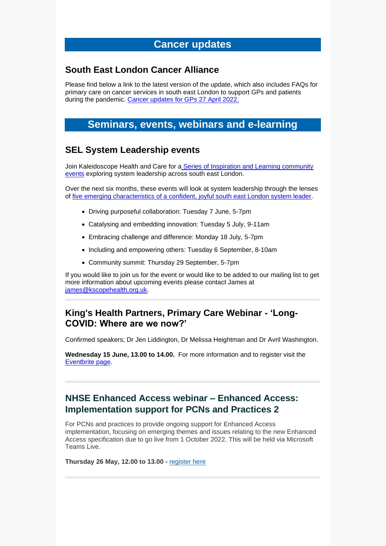# **Cancer updates**

#### **South East London Cancer Alliance**

Please find below a link to the latest version of the update, which also includes FAQs for primary care on cancer services in south east London to support GPs and patients during the pandemic. [Cancer updates for GPs 27 April](https://selondonccg.nhs.uk/wp-content/uploads/2022/04/SEL-Cancer-Updates-FAQs-for-Primary-Care-27-Apr-2022.pdf) 2022.

## **Seminars, events, webinars and e-learning**

### **SEL System Leadership events**

Join Kaleidoscope Health and Care for a [Series of Inspiration and Learning community](https://www.kscopehealth.org.uk/project/building-a-community-of-south-east-london-system-leaders/community-events/)  [events](https://www.kscopehealth.org.uk/project/building-a-community-of-south-east-london-system-leaders/community-events/) exploring system leadership across south east London.

Over the next six months, these events will look at system leadership through the lenses of [five emerging characteristics of a confident, joyful south east London system leader.](https://s30454.pcdn.co/wp-content/uploads/Community-of-South-East-London-System-Leaders-Emerging-Identity.png)

- Driving purposeful collaboration: Tuesday 7 June, 5-7pm
- Catalysing and embedding innovation: Tuesday 5 July, 9-11am
- Embracing challenge and difference: Monday 18 July, 5-7pm
- Including and empowering others: Tuesday 6 September, 8-10am
- Community summit: Thursday 29 September, 5-7pm

If you would like to join us for the event or would like to be added to our mailing list to get more information about upcoming events please contact James at [james@kscopehealth.org.uk.](mailto:james@kscopehealth.org.uk)

### **King's Health Partners, Primary Care Webinar - 'Long-COVID: Where are we now?'**

Confirmed speakers; Dr Jen Liddington, Dr Melissa Heightman and Dr Avril Washington.

**Wednesday 15 June, 13.00 to 14.00.** For more information and to register visit the [Eventbrite page.](https://pcw15june2022.eventbrite.co.uk/)

## **NHSE Enhanced Access webinar – Enhanced Access: Implementation support for PCNs and Practices 2**

For PCNs and practices to provide ongoing support for Enhanced Access implementation, focusing on emerging themes and issues relating to the new Enhanced Access specification due to go live from 1 October 2022. This will be held via Microsoft Teams Live.

**Thursday 26 May, 12.00 to 13.00 -** [register](https://www.events.england.nhs.uk/events/enhanced-access-implementation-support-for-pcns-and-practices-2) here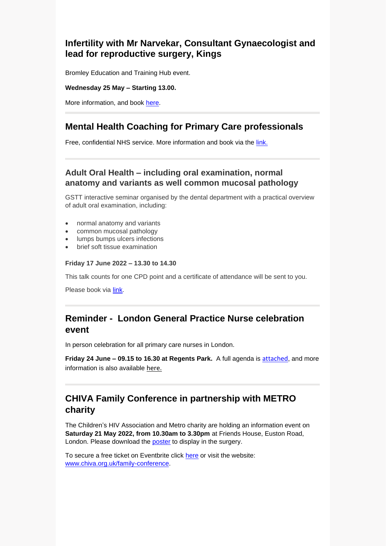## **Infertility with Mr Narvekar, Consultant Gynaecologist and lead for reproductive surgery, Kings**

Bromley Education and Training Hub event.

#### **Wednesday 25 May – Starting 13.00.**

More information, and book [here.](https://app.livestorm.co/beth-1/infertility-with-mr-narvekar-consultant-gynaecologist-and-lead-for-reproductive-surgery-kings?type=detailed)

## **Mental Health Coaching for Primary Care professionals**

Free, confidential NHS service. More information and book via the [link.](https://selondonccg.nhs.uk/wp-content/uploads/2022/05/looking-after-you-poster-v2.pdf)

#### **Adult Oral Health – including oral examination, normal anatomy and variants as well common mucosal pathology**

GSTT interactive seminar organised by the dental department with a practical overview of adult oral examination, including:

- normal anatomy and variants
- common mucosal pathology
- lumps bumps ulcers infections
- brief soft tissue examination

#### **Friday 17 June 2022 – 13.30 to 14.30**

This talk counts for one CPD point and a certificate of attendance will be sent to you.

Please book via [link.](https://www.eventbrite.co.uk/e/adult-oral-health-virtual-seminar-for-primary-care-tickets-294695481117)

## **Reminder - London General Practice Nurse celebration event**

In person celebration for all primary care nurses in London.

**Friday 24 June – 09.15 to 16.30 at Regents Park.** A full agenda is [attached](https://selondonccg.nhs.uk/wp-content/uploads/2022/05/A-celebration-event-agenda.pdf), and more information is also available [here.](https://selondonccg.nhs.uk/wp-content/uploads/2022/03/A-celebration-event.._-002.png)

# **CHIVA Family Conference in partnership with METRO charity**

The Children's HIV Association and Metro charity are holding an information event on **Saturday 21 May 2022, from 10.30am to 3.30pm** at Friends House, Euston Road, London. Please download the **poster** to display in the surgery.

To secure a free ticket on Eventbrite click [here](https://www.eventbrite.co.uk/e/chiva-family-conference-tickets-310498006897) or visit the website: [www.chiva.org.uk/family-conference.](https://www.chiva.org.uk/parents-new/family-conference/)